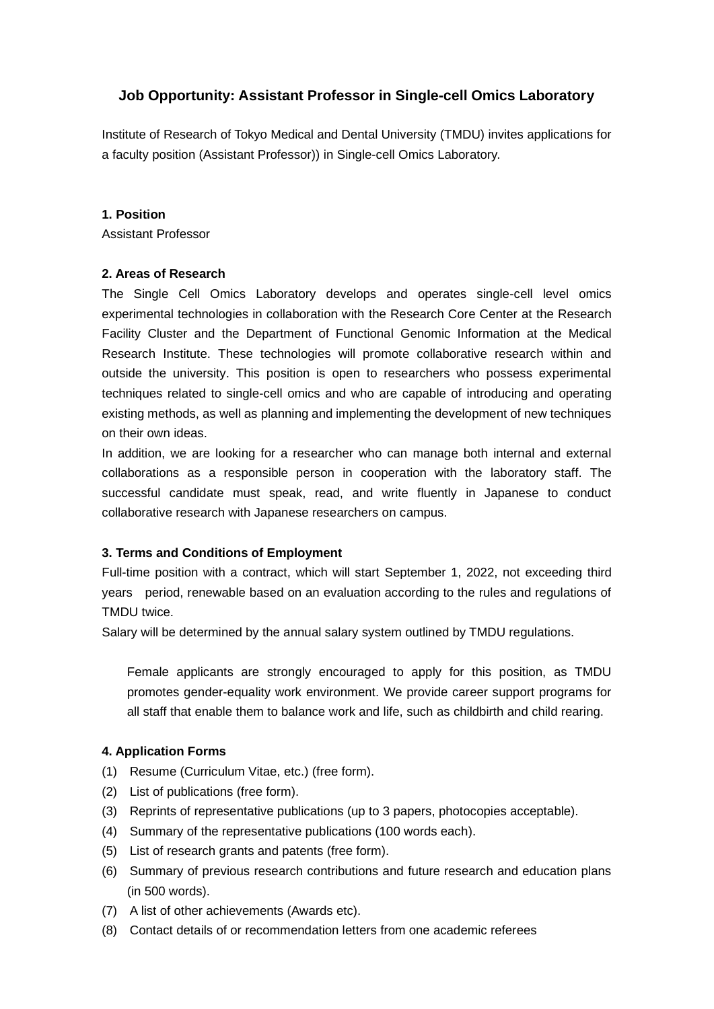# **Job Opportunity: Assistant Professor in Single-cell Omics Laboratory**

Institute of Research of Tokyo Medical and Dental University (TMDU) invites applications for a faculty position (Assistant Professor)) in Single-cell Omics Laboratory.

#### **1. Position**

Assistant Professor

#### **2. Areas of Research**

The Single Cell Omics Laboratory develops and operates single-cell level omics experimental technologies in collaboration with the Research Core Center at the Research Facility Cluster and the Department of Functional Genomic Information at the Medical Research Institute. These technologies will promote collaborative research within and outside the university. This position is open to researchers who possess experimental techniques related to single-cell omics and who are capable of introducing and operating existing methods, as well as planning and implementing the development of new techniques on their own ideas.

In addition, we are looking for a researcher who can manage both internal and external collaborations as a responsible person in cooperation with the laboratory staff. The successful candidate must speak, read, and write fluently in Japanese to conduct collaborative research with Japanese researchers on campus.

### **3. Terms and Conditions of Employment**

Full-time position with a contract, which will start September 1, 2022, not exceeding third years period, renewable based on an evaluation according to the rules and regulations of TMDU twice.

Salary will be determined by the annual salary system outlined by TMDU regulations.

Female applicants are strongly encouraged to apply for this position, as TMDU promotes gender-equality work environment. We provide career support programs for all staff that enable them to balance work and life, such as childbirth and child rearing.

### **4. Application Forms**

- (1) Resume (Curriculum Vitae, etc.) (free form).
- (2) List of publications (free form).
- (3) Reprints of representative publications (up to 3 papers, photocopies acceptable).
- (4) Summary of the representative publications (100 words each).
- (5) List of research grants and patents (free form).
- (6) Summary of previous research contributions and future research and education plans (in 500 words).
- (7) A list of other achievements (Awards etc).
- (8) Contact details of or recommendation letters from one academic referees